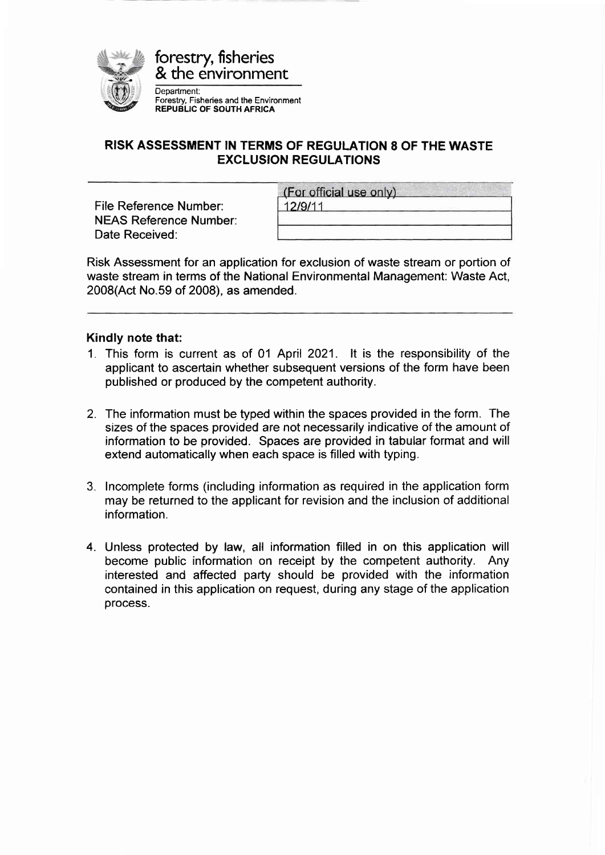

forestry, fisheries & the environment

Department: Forestry, Fisheries and the Environment REPUBLIC OF SOUTH AFRICA

## RISK ASSESSMENT IN TERMS OF REGULATION 8 OF THE WASTE EXCLUSION REGULATIONS

File Reference Number: NEAS Reference Number: Date Received:

| (For official use only) |  |
|-------------------------|--|
| 12/9/11                 |  |
|                         |  |

Risk Assessment for an application for exclusion of waste stream or portion of waste stream in terms of the National Environmental Management: Waste Act, 2008(Act No.59 of 2008), as amended.

### Kindly note that:

- 1. This form is current as of 01 April 2021. lt is the responsibility of the applicant to ascertain whether subsequent versions of the form have been published or produced by the competent authority.
- 2. The information must be typed within the spaces provided in the form. The sizes of the spaces provided are not necessarily indicative of the amount of information to be provided. Spaces are provided in tabular format and will extend automatically when each space is filled with typing.
- 3. lncomplete forms (including information as required in the application form may be returned to the applicant for revision and the inclusion of additional information.
- 4. Unless protected by law, all information filled in on this application will become public information on receipt by the competent authority. Any interested and affected party should be provided with the information contained in this application on request, during any stage of the application process.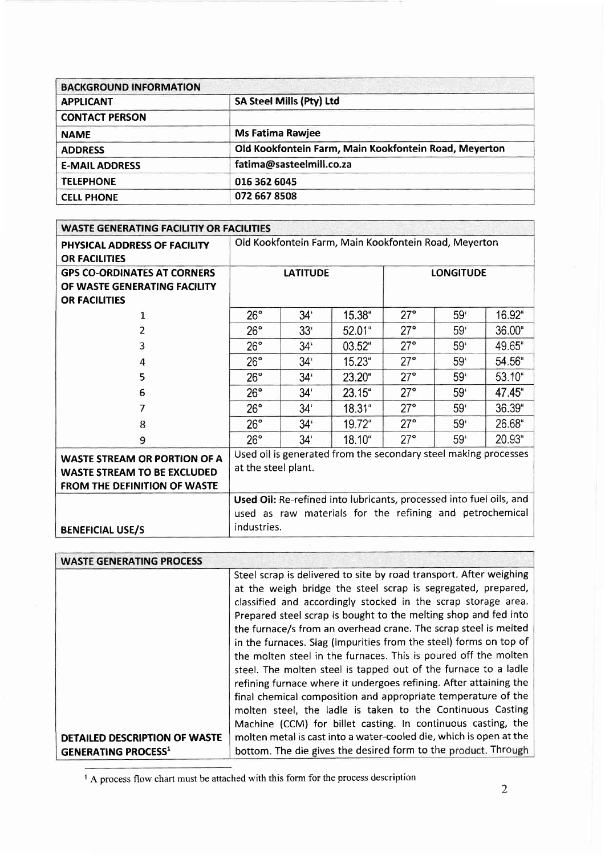| <b>BACKGROUND INFORMATION</b> |                                                       |
|-------------------------------|-------------------------------------------------------|
| <b>APPLICANT</b>              | <b>SA Steel Mills (Pty) Ltd</b>                       |
| <b>CONTACT PERSON</b>         |                                                       |
| <b>NAME</b>                   | <b>Ms Fatima Rawjee</b>                               |
| <b>ADDRESS</b>                | Old Kookfontein Farm, Main Kookfontein Road, Meyerton |
| <b>E-MAIL ADDRESS</b>         | fatima@sasteelmill.co.za                              |
| <b>TELEPHONE</b>              | 016 362 6045                                          |
| <b>CELL PHONE</b>             | 072 667 8508                                          |

| <b>WASTE GENERATING FACILITIY OR FACILITIES</b>                                                                  |                                                                                                                                                |                 |                 |              |                  |        |
|------------------------------------------------------------------------------------------------------------------|------------------------------------------------------------------------------------------------------------------------------------------------|-----------------|-----------------|--------------|------------------|--------|
| PHYSICAL ADDRESS OF FACILITY<br><b>OR FACILITIES</b>                                                             | Old Kookfontein Farm, Main Kookfontein Road, Meyerton                                                                                          |                 |                 |              |                  |        |
| <b>GPS CO-ORDINATES AT CORNERS</b>                                                                               |                                                                                                                                                | <b>LATITUDE</b> |                 |              | <b>LONGITUDE</b> |        |
| OF WASTE GENERATING FACILITY                                                                                     |                                                                                                                                                |                 |                 |              |                  |        |
| <b>OR FACILITIES</b>                                                                                             |                                                                                                                                                |                 |                 |              |                  |        |
| 1                                                                                                                | $26^{\circ}$                                                                                                                                   | 34 <sup>′</sup> | 15.38"          | $27^\circ$   | 59 <sup>′</sup>  | 16.92" |
| $\mathcal{P}$                                                                                                    | $26^\circ$                                                                                                                                     | 33 <sup>′</sup> | 52.01"          | $27^{\circ}$ | 59 <sup>°</sup>  | 36.00" |
| 3                                                                                                                | 26°                                                                                                                                            | $34^*$          | $03.52^{\circ}$ | $27^{\circ}$ | 59 <sup>°</sup>  | 49.65" |
| 4                                                                                                                | 26°                                                                                                                                            | 34 <sup>1</sup> | 15.23"          | $27^{\circ}$ | 59 <sup>°</sup>  | 54.56" |
| 5                                                                                                                | $26^\circ$                                                                                                                                     | $34^{\circ}$    | 23.20"          | $27^\circ$   | 59 <sup>°</sup>  | 53.10" |
| 6                                                                                                                | 26°                                                                                                                                            | 34 <sup>′</sup> | $23.15$ "       | $27^{\circ}$ | 59 <sup>°</sup>  | 47.45" |
| 7                                                                                                                | $26^\circ$                                                                                                                                     | 34 <sup>′</sup> | 18.31"          | $27^\circ$   | 59'              | 36.39" |
| 8                                                                                                                | 26°                                                                                                                                            | 34 <sup>′</sup> | 19.72"          | $27^\circ$   | 59'              | 26.68" |
| 9                                                                                                                | $26^\circ$                                                                                                                                     | 34 <sup>′</sup> | 18.10"          | 27°          | 59 <sup>°</sup>  | 20.93" |
| <b>WASTE STREAM OR PORTION OF A</b><br><b>WASTE STREAM TO BE EXCLUDED</b><br><b>FROM THE DEFINITION OF WASTE</b> | Used oil is generated from the secondary steel making processes<br>at the steel plant.                                                         |                 |                 |              |                  |        |
|                                                                                                                  | Used Oil: Re-refined into lubricants, processed into fuel oils, and<br>used as raw materials for the refining and petrochemical<br>industries. |                 |                 |              |                  |        |
| <b>BENEFICIAL USE/S</b>                                                                                          |                                                                                                                                                |                 |                 |              |                  |        |

| <b>WASTE GENERATING PROCESS</b>      |                                                                    |
|--------------------------------------|--------------------------------------------------------------------|
|                                      | Steel scrap is delivered to site by road transport. After weighing |
|                                      | at the weigh bridge the steel scrap is segregated, prepared,       |
|                                      | classified and accordingly stocked in the scrap storage area.      |
|                                      | Prepared steel scrap is bought to the melting shop and fed into    |
|                                      | the furnace/s from an overhead crane. The scrap steel is melted    |
|                                      | in the furnaces. Slag (impurities from the steel) forms on top of  |
|                                      | the molten steel in the furnaces. This is poured off the molten    |
|                                      | steel. The molten steel is tapped out of the furnace to a ladle    |
|                                      | refining furnace where it undergoes refining. After attaining the  |
|                                      | final chemical composition and appropriate temperature of the      |
|                                      | molten steel, the ladle is taken to the Continuous Casting         |
|                                      | Machine (CCM) for billet casting. In continuous casting, the       |
| <b>DETAILED DESCRIPTION OF WASTE</b> | molten metal is cast into a water-cooled die, which is open at the |
| <b>GENERATING PROCESS1</b>           | bottom. The die gives the desired form to the product. Through     |

<sup>&</sup>lt;sup>1</sup> A process flow chart must be attached with this form for the process description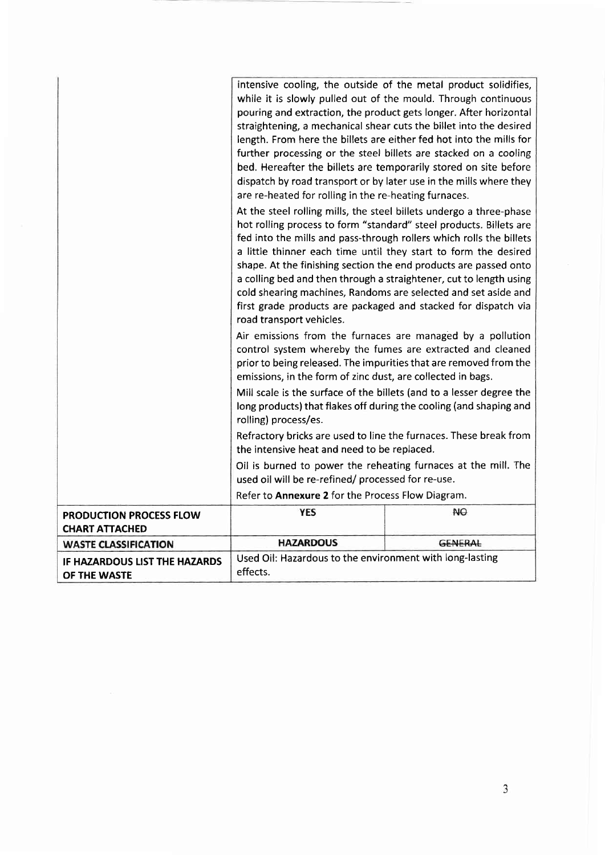|                                                         | intensive cooling, the outside of the metal product solidifies,                                                                                                                                                                                                                                                                                                                                                                                                                                                                                                                                                                                                                                                                                                                                |                |  |
|---------------------------------------------------------|------------------------------------------------------------------------------------------------------------------------------------------------------------------------------------------------------------------------------------------------------------------------------------------------------------------------------------------------------------------------------------------------------------------------------------------------------------------------------------------------------------------------------------------------------------------------------------------------------------------------------------------------------------------------------------------------------------------------------------------------------------------------------------------------|----------------|--|
|                                                         | while it is slowly pulled out of the mould. Through continuous                                                                                                                                                                                                                                                                                                                                                                                                                                                                                                                                                                                                                                                                                                                                 |                |  |
|                                                         | pouring and extraction, the product gets longer. After horizontal                                                                                                                                                                                                                                                                                                                                                                                                                                                                                                                                                                                                                                                                                                                              |                |  |
|                                                         | straightening, a mechanical shear cuts the billet into the desired                                                                                                                                                                                                                                                                                                                                                                                                                                                                                                                                                                                                                                                                                                                             |                |  |
|                                                         | length. From here the billets are either fed hot into the mills for                                                                                                                                                                                                                                                                                                                                                                                                                                                                                                                                                                                                                                                                                                                            |                |  |
|                                                         | further processing or the steel billets are stacked on a cooling                                                                                                                                                                                                                                                                                                                                                                                                                                                                                                                                                                                                                                                                                                                               |                |  |
|                                                         | bed. Hereafter the billets are temporarily stored on site before                                                                                                                                                                                                                                                                                                                                                                                                                                                                                                                                                                                                                                                                                                                               |                |  |
|                                                         | dispatch by road transport or by later use in the mills where they                                                                                                                                                                                                                                                                                                                                                                                                                                                                                                                                                                                                                                                                                                                             |                |  |
|                                                         | are re-heated for rolling in the re-heating furnaces.                                                                                                                                                                                                                                                                                                                                                                                                                                                                                                                                                                                                                                                                                                                                          |                |  |
|                                                         | At the steel rolling mills, the steel billets undergo a three-phase<br>hot rolling process to form "standard" steel products. Billets are<br>fed into the mills and pass-through rollers which rolls the billets<br>a little thinner each time until they start to form the desired<br>shape. At the finishing section the end products are passed onto<br>a colling bed and then through a straightener, cut to length using<br>cold shearing machines, Randoms are selected and set aside and<br>first grade products are packaged and stacked for dispatch via<br>road transport vehicles.<br>Air emissions from the furnaces are managed by a pollution<br>control system whereby the fumes are extracted and cleaned<br>prior to being released. The impurities that are removed from the |                |  |
|                                                         | emissions, in the form of zinc dust, are collected in bags.                                                                                                                                                                                                                                                                                                                                                                                                                                                                                                                                                                                                                                                                                                                                    |                |  |
|                                                         | Mill scale is the surface of the billets (and to a lesser degree the<br>long products) that flakes off during the cooling (and shaping and<br>rolling) process/es.                                                                                                                                                                                                                                                                                                                                                                                                                                                                                                                                                                                                                             |                |  |
|                                                         | Refractory bricks are used to line the furnaces. These break from<br>the intensive heat and need to be replaced.                                                                                                                                                                                                                                                                                                                                                                                                                                                                                                                                                                                                                                                                               |                |  |
|                                                         | Oil is burned to power the reheating furnaces at the mill. The<br>used oil will be re-refined/ processed for re-use.                                                                                                                                                                                                                                                                                                                                                                                                                                                                                                                                                                                                                                                                           |                |  |
|                                                         | Refer to Annexure 2 for the Process Flow Diagram.                                                                                                                                                                                                                                                                                                                                                                                                                                                                                                                                                                                                                                                                                                                                              |                |  |
| <b>PRODUCTION PROCESS FLOW</b><br><b>CHART ATTACHED</b> | <b>YES</b>                                                                                                                                                                                                                                                                                                                                                                                                                                                                                                                                                                                                                                                                                                                                                                                     | <b>NO</b>      |  |
| <b>WASTE CLASSIFICATION</b>                             | <b>HAZARDOUS</b>                                                                                                                                                                                                                                                                                                                                                                                                                                                                                                                                                                                                                                                                                                                                                                               | <b>GENERAL</b> |  |
| IF HAZARDOUS LIST THE HAZARDS<br>OF THE WASTE           | Used Oil: Hazardous to the environment with long-lasting<br>effects.                                                                                                                                                                                                                                                                                                                                                                                                                                                                                                                                                                                                                                                                                                                           |                |  |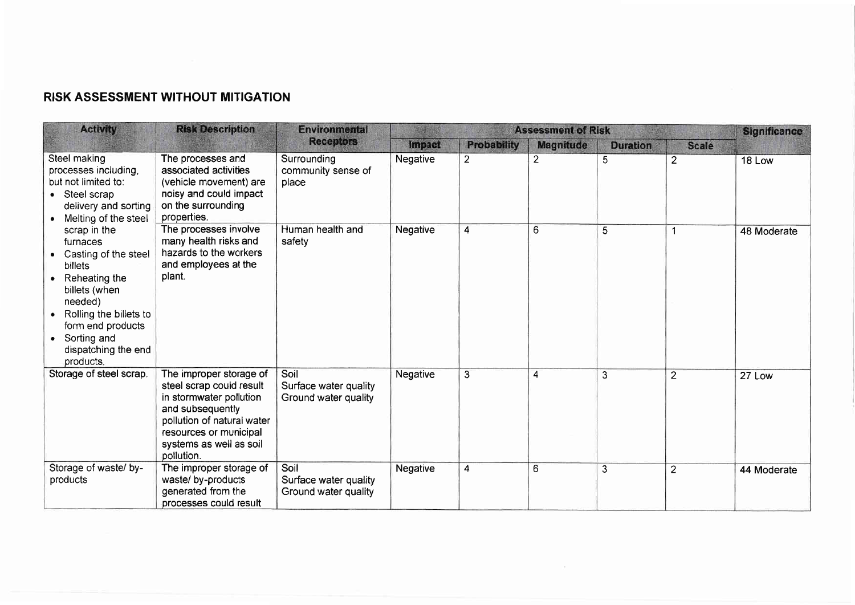# RISK ASSESSMENT WITHOUT MITIGATION

| <b>Activity</b>                                                                                                                                                                                                                                                                                                             | <b>Risk Description</b><br><b>Environmental</b>                                                                                                                                                     |                                                       |                 | <b>Assessment of Risk</b> |                       |                 | <b>Significance</b> |             |
|-----------------------------------------------------------------------------------------------------------------------------------------------------------------------------------------------------------------------------------------------------------------------------------------------------------------------------|-----------------------------------------------------------------------------------------------------------------------------------------------------------------------------------------------------|-------------------------------------------------------|-----------------|---------------------------|-----------------------|-----------------|---------------------|-------------|
|                                                                                                                                                                                                                                                                                                                             |                                                                                                                                                                                                     | <b>Receptors</b>                                      | <b>Impact</b>   | <b>Probability</b>        | <b>Magnitude</b>      | <b>Duration</b> | <b>Scale</b>        |             |
| Steel making<br>processes including,<br>but not limited to:<br>Steel scrap<br>delivery and sorting<br>Melting of the steel<br>scrap in the<br>furnaces<br>Casting of the steel<br>billets<br>Reheating the<br>billets (when<br>needed)<br>Rolling the billets to<br>form end products<br>Sorting and<br>dispatching the end | The processes and<br>associated activities<br>(vehicle movement) are<br>noisy and could impact<br>on the surrounding<br>properties.                                                                 | Surrounding<br>community sense of<br>place            | Negative        | 2                         | $\mathbf{2}^{\prime}$ | 5               | $\overline{2}$      | 18 Low      |
|                                                                                                                                                                                                                                                                                                                             | The processes involve<br>many health risks and<br>hazards to the workers<br>and employees at the<br>plant.                                                                                          | Human health and<br>safety                            | <b>Negative</b> | 4                         | 6                     | 5               | 1                   | 48 Moderate |
| Storage of steel scrap.                                                                                                                                                                                                                                                                                                     | The improper storage of<br>steel scrap could result<br>in stormwater pollution<br>and subsequently<br>pollution of natural water<br>resources or municipal<br>systems as well as soil<br>pollution. | Soil<br>Surface water quality<br>Ground water quality | Negative        | 3                         | 4                     | $\overline{3}$  | $\overline{2}$      | 27 Low      |
| Storage of waste/ by-<br>products                                                                                                                                                                                                                                                                                           | The improper storage of<br>waste/ by-products<br>generated from the<br>processes could result                                                                                                       | Soil<br>Surface water quality<br>Ground water quality | <b>Negative</b> | $\overline{4}$            | 6                     | $\overline{3}$  | $\overline{2}$      | 44 Moderate |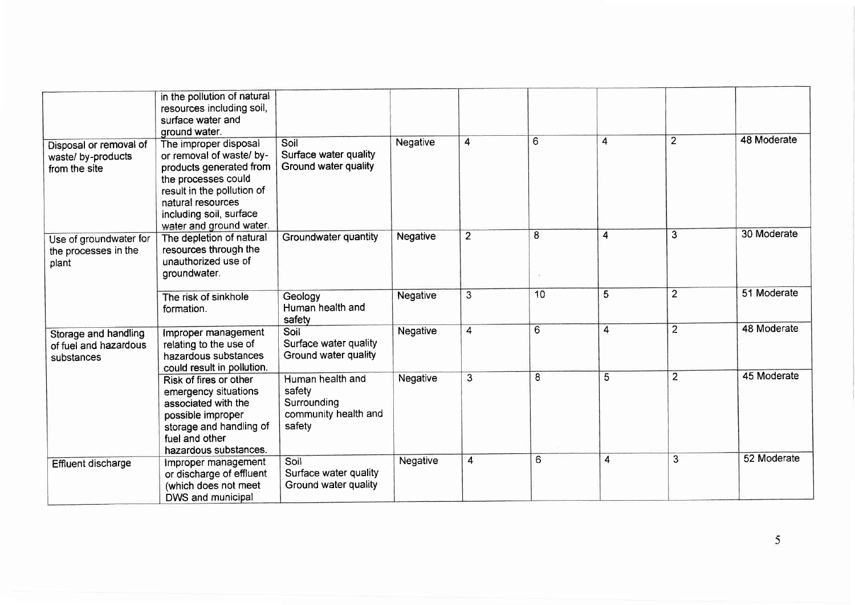|                                                               | in the pollution of natural<br>resources including soil,<br>surface water and<br>ground water.                                                                                                               |                                                                             |          |                |    |                |                |             |
|---------------------------------------------------------------|--------------------------------------------------------------------------------------------------------------------------------------------------------------------------------------------------------------|-----------------------------------------------------------------------------|----------|----------------|----|----------------|----------------|-------------|
| Disposal or removal of<br>waste/ by-products<br>from the site | The improper disposal<br>or removal of waste/ by-<br>products generated from<br>the processes could<br>result in the pollution of<br>natural resources<br>including soil, surface<br>water and ground water. | Soil<br>Surface water quality<br>Ground water quality                       | Negative | 4              | 6  | $\overline{4}$ | $\overline{2}$ | 48 Moderate |
| Use of groundwater for<br>the processes in the<br>plant       | The depletion of natural<br>resources through the<br>unauthorized use of<br>groundwater.                                                                                                                     | Groundwater quantity                                                        | Negative | $\overline{2}$ | 8  | 4              | $\overline{3}$ | 30 Moderate |
|                                                               | The risk of sinkhole<br>formation.                                                                                                                                                                           | Geology<br>Human health and<br>safety                                       | Negative | 3              | 10 | 5              | $\overline{2}$ | 51 Moderate |
| Storage and handling<br>of fuel and hazardous<br>substances   | Improper management<br>relating to the use of<br>hazardous substances<br>could result in pollution.                                                                                                          | Soil<br>Surface water quality<br>Ground water quality                       | Negative | $\overline{4}$ | 6  | 4              | $\overline{2}$ | 48 Moderate |
|                                                               | Risk of fires or other<br>emergency situations<br>associated with the<br>possible improper<br>storage and handling of<br>fuel and other<br>hazardous substances.                                             | Human health and<br>safety<br>Surrounding<br>community health and<br>safety | Negative | 3              | 8  | 5              | $\overline{2}$ | 45 Moderate |
| Effluent discharge                                            | Improper management<br>or discharge of effluent<br>(which does not meet<br>DWS and municipal                                                                                                                 | Soil<br>Surface water quality<br>Ground water quality                       | Negative | 4              | 6  | 4              | 3              | 52 Moderate |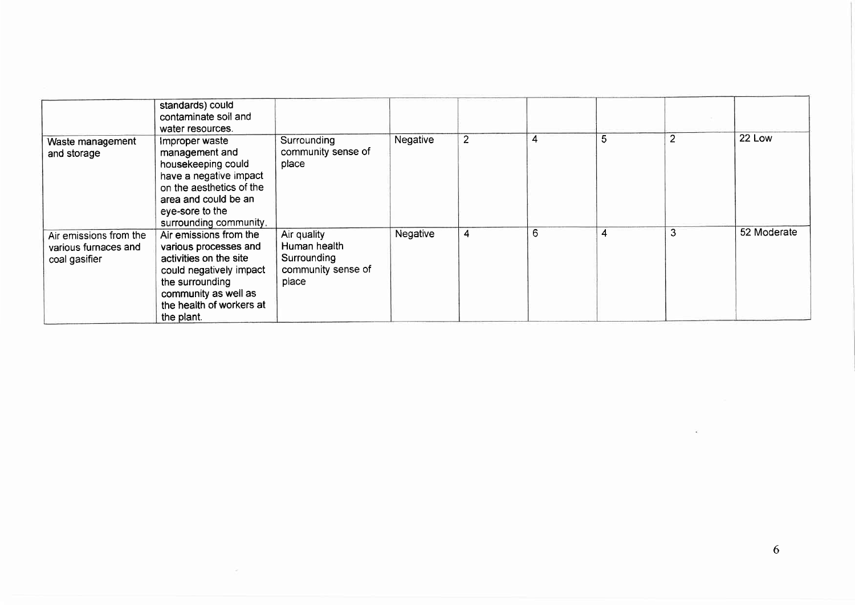|                                                                 | standards) could<br>contaminate soil and<br>water resources.                                                                                                                              |                                                                           |          |                |   |   |                |             |
|-----------------------------------------------------------------|-------------------------------------------------------------------------------------------------------------------------------------------------------------------------------------------|---------------------------------------------------------------------------|----------|----------------|---|---|----------------|-------------|
| Waste management<br>and storage                                 | Improper waste<br>management and<br>housekeeping could<br>have a negative impact<br>on the aesthetics of the<br>area and could be an<br>eye-sore to the<br>surrounding community.         | Surrounding<br>community sense of<br>place                                | Negative | $\overline{2}$ | 4 | 5 | $\overline{2}$ | 22 Low      |
| Air emissions from the<br>various furnaces and<br>coal gasifier | Air emissions from the<br>various processes and<br>activities on the site<br>could negatively impact<br>the surrounding<br>community as well as<br>the health of workers at<br>the plant. | Air quality<br>Human health<br>Surrounding<br>community sense of<br>place | Negative | 4              | 6 | 4 | 3              | 52 Moderate |

 $\sim$ 

 $\sim 10^{11}$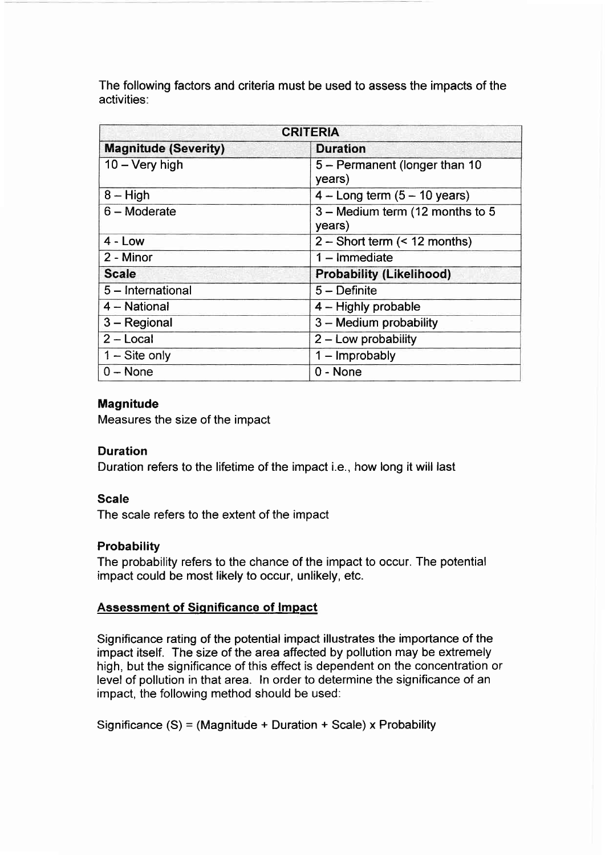The following factors and criteria must be used to assess the impacts of the activities:

| <b>CRITERIA</b>             |                                           |  |  |  |
|-----------------------------|-------------------------------------------|--|--|--|
| <b>Magnitude (Severity)</b> | <b>Duration</b>                           |  |  |  |
| $10 - \text{Very high}$     | 5 - Permanent (longer than 10<br>years)   |  |  |  |
| $8 - High$                  | $4 - Long term (5 - 10 years)$            |  |  |  |
| $6 -$ Moderate              | 3 - Medium term (12 months to 5<br>years) |  |  |  |
| $4 - Low$                   | $2 -$ Short term (< 12 months)            |  |  |  |
| 2 - Minor                   | $1 -$ Immediate                           |  |  |  |
| <b>Scale</b>                | <b>Probability (Likelihood)</b>           |  |  |  |
| 5 - International           | $5 -$ Definite                            |  |  |  |
| 4 - National                | 4 - Highly probable                       |  |  |  |
| $3 -$ Regional              | 3 - Medium probability                    |  |  |  |
| $2 - Local$                 | $2 -$ Low probability                     |  |  |  |
| $1 -$ Site only             | $1 -$ Improbably                          |  |  |  |
| $0 - None$                  | $0 - None$                                |  |  |  |

### **Magnitude**

Measures the size of the impact

### Duration

Duration refers to the lifetime of the impact i.e., how long it will last

#### Scale

The scale refers to the extent of the impact

### **Probability**

The probability refers to the chance of the impact to occur. The potential impact could be most likely to occur, unlikely, etc.

### Assessment of Significance of lmpact

Significance rating of the potential impact illustrates the importance of the impact itself. The size of the area affected by pollution may be extremely high, but the significance of this effect is dependent on the concentration or level of pollution in that area. ln order to determine the significance of an impact, the following method should be used:

Significance (S) = (Magnitude + Duration + Scale) x Probability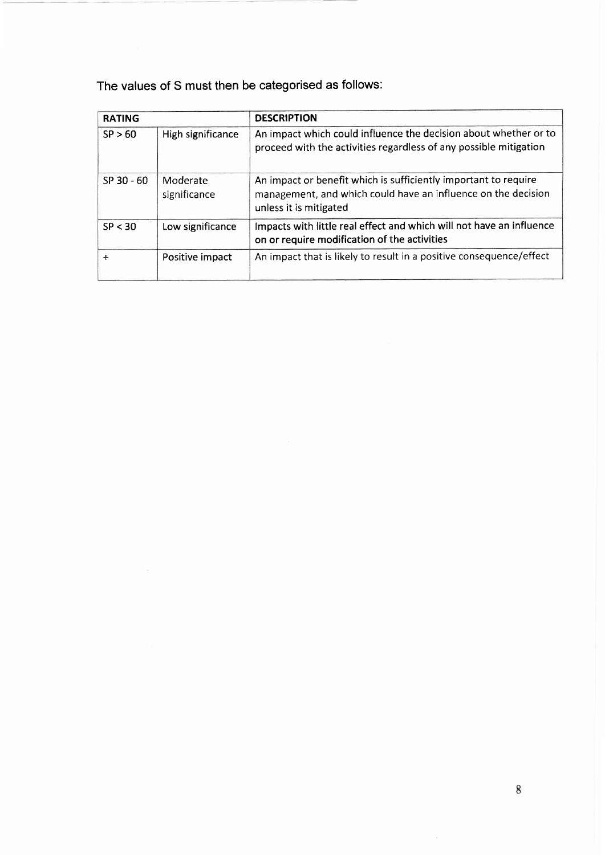The values of S must then be categorised as follows:

| <b>RATING</b> |                          | <b>DESCRIPTION</b>                                                                                                                                         |
|---------------|--------------------------|------------------------------------------------------------------------------------------------------------------------------------------------------------|
| SP > 60       | High significance        | An impact which could influence the decision about whether or to<br>proceed with the activities regardless of any possible mitigation                      |
| SP 30 - 60    | Moderate<br>significance | An impact or benefit which is sufficiently important to require<br>management, and which could have an influence on the decision<br>unless it is mitigated |
| SP < 30       | Low significance         | Impacts with little real effect and which will not have an influence<br>on or require modification of the activities                                       |
| $+$           | Positive impact          | An impact that is likely to result in a positive consequence/effect                                                                                        |